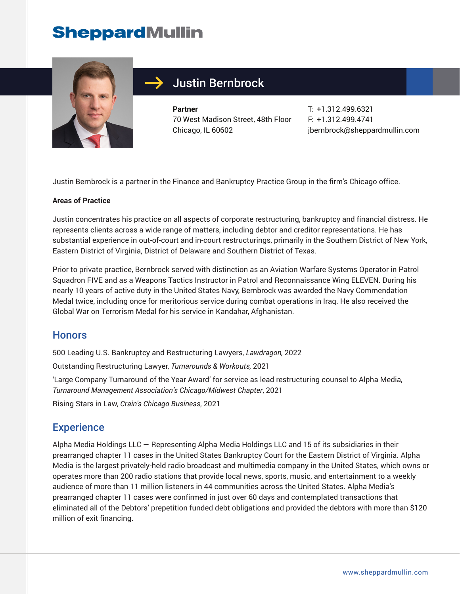# **SheppardMullin**



## Justin Bernbrock

**Partner** 70 West Madison Street, 48th Floor Chicago, IL 60602

T: +1.312.499.6321 F: +1.312.499.4741 jbernbrock@sheppardmullin.com

Justin Bernbrock is a partner in the Finance and Bankruptcy Practice Group in the firm's Chicago office.

#### **Areas of Practice**

Justin concentrates his practice on all aspects of corporate restructuring, bankruptcy and financial distress. He represents clients across a wide range of matters, including debtor and creditor representations. He has substantial experience in out-of-court and in-court restructurings, primarily in the Southern District of New York, Eastern District of Virginia, District of Delaware and Southern District of Texas.

Prior to private practice, Bernbrock served with distinction as an Aviation Warfare Systems Operator in Patrol Squadron FIVE and as a Weapons Tactics Instructor in Patrol and Reconnaissance Wing ELEVEN. During his nearly 10 years of active duty in the United States Navy, Bernbrock was awarded the Navy Commendation Medal twice, including once for meritorious service during combat operations in Iraq. He also received the Global War on Terrorism Medal for his service in Kandahar, Afghanistan.

#### **Honors**

500 Leading U.S. Bankruptcy and Restructuring Lawyers, *Lawdragon,* 2022

Outstanding Restructuring Lawyer, *Turnarounds & Workouts,* 2021

'Large Company Turnaround of the Year Award' for service as lead restructuring counsel to Alpha Media, *Turnaround Management Association's Chicago/Midwest Chapter*, 2021

Rising Stars in Law, *Crain's Chicago Business*, 2021

#### **Experience**

Alpha Media Holdings LLC — Representing Alpha Media Holdings LLC and 15 of its subsidiaries in their prearranged chapter 11 cases in the United States Bankruptcy Court for the Eastern District of Virginia. Alpha Media is the largest privately-held radio broadcast and multimedia company in the United States, which owns or operates more than 200 radio stations that provide local news, sports, music, and entertainment to a weekly audience of more than 11 million listeners in 44 communities across the United States. Alpha Media's prearranged chapter 11 cases were confirmed in just over 60 days and contemplated transactions that eliminated all of the Debtors' prepetition funded debt obligations and provided the debtors with more than \$120 million of exit financing.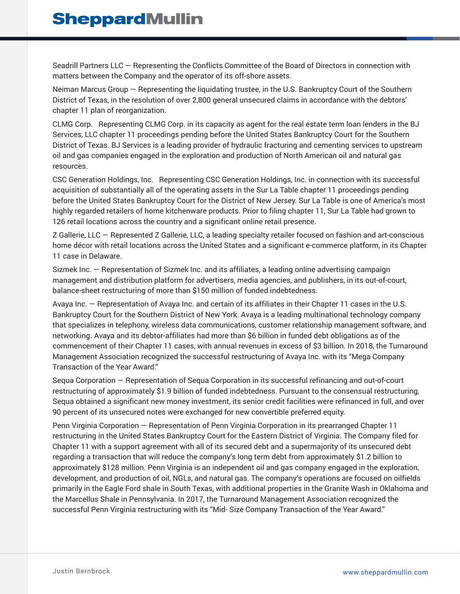Seadrill Partners LLC — Representing the Conflicts Committee of the Board of Directors in connection with matters between the Company and the operator of its off-shore assets.

Neiman Marcus Group — Representing the liquidating trustee, in the U.S. Bankruptcy Court of the Southern District of Texas, in the resolution of over 2,800 general unsecured claims in accordance with the debtors' chapter 11 plan of reorganization.

CLMG Corp. Representing CLMG Corp. in its capacity as agent for the real estate term loan lenders in the BJ Services, LLC chapter 11 proceedings pending before the United States Bankruptcy Court for the Southern District of Texas. BJ Services is a leading provider of hydraulic fracturing and cementing services to upstream oil and gas companies engaged in the exploration and production of North American oil and natural gas resources.

CSC Generation Holdings, Inc. Representing CSC Generation Holdings, Inc. in connection with its successful acquisition of substantially all of the operating assets in the Sur La Table chapter 11 proceedings pending before the United States Bankruptcy Court for the District of New Jersey. Sur La Table is one of America's most highly regarded retailers of home kitchenware products. Prior to filing chapter 11, Sur La Table had grown to 126 retail locations across the country and a significant online retail presence.

Z Gallerie, LLC — Represented Z Gallerie, LLC, a leading specialty retailer focused on fashion and art-conscious home décor with retail locations across the United States and a significant e-commerce platform, in its Chapter 11 case in Delaware.

Sizmek Inc. — Representation of Sizmek Inc. and its affiliates, a leading online advertising campaign management and distribution platform for advertisers, media agencies, and publishers, in its out-of-court, balance-sheet restructuring of more than \$150 million of funded indebtedness.

Avaya Inc. — Representation of Avaya Inc. and certain of its affiliates in their Chapter 11 cases in the U.S. Bankruptcy Court for the Southern District of New York. Avaya is a leading multinational technology company that specializes in telephony, wireless data communications, customer relationship management software, and networking. Avaya and its debtor-affiliates had more than \$6 billion in funded debt obligations as of the commencement of their Chapter 11 cases, with annual revenues in excess of \$3 billion. In 2018, the Turnaround Management Association recognized the successful restructuring of Avaya Inc. with its "Mega Company Transaction of the Year Award."

Sequa Corporation — Representation of Sequa Corporation in its successful refinancing and out-of-court restructuring of approximately \$1.9 billion of funded indebtedness. Pursuant to the consensual restructuring, Sequa obtained a significant new money investment, its senior credit facilities were refinanced in full, and over 90 percent of its unsecured notes were exchanged for new convertible preferred equity.

Penn Virginia Corporation — Representation of Penn Virginia Corporation in its prearranged Chapter 11 restructuring in the United States Bankruptcy Court for the Eastern District of Virginia. The Company filed for Chapter 11 with a support agreement with all of its secured debt and a supermajority of its unsecured debt regarding a transaction that will reduce the company's long term debt from approximately \$1.2 billion to approximately \$128 million. Penn Virginia is an independent oil and gas company engaged in the exploration, development, and production of oil, NGLs, and natural gas. The company's operations are focused on oilfields primarily in the Eagle Ford shale in South Texas, with additional properties in the Granite Wash in Oklahoma and the Marcellus Shale in Pennsylvania. In 2017, the Turnaround Management Association recognized the successful Penn Virginia restructuring with its "Mid- Size Company Transaction of the Year Award."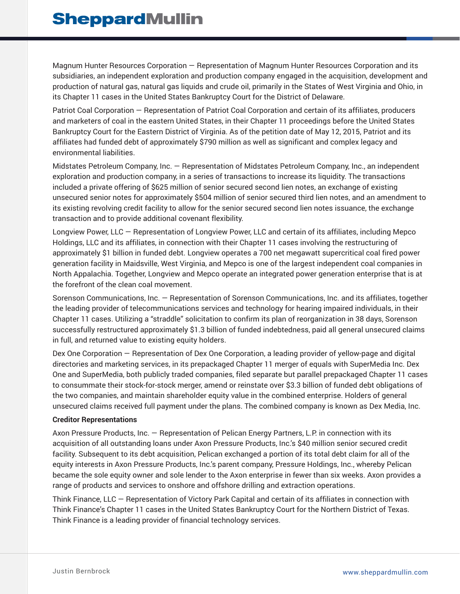Magnum Hunter Resources Corporation — Representation of Magnum Hunter Resources Corporation and its subsidiaries, an independent exploration and production company engaged in the acquisition, development and production of natural gas, natural gas liquids and crude oil, primarily in the States of West Virginia and Ohio, in its Chapter 11 cases in the United States Bankruptcy Court for the District of Delaware.

Patriot Coal Corporation — Representation of Patriot Coal Corporation and certain of its affiliates, producers and marketers of coal in the eastern United States, in their Chapter 11 proceedings before the United States Bankruptcy Court for the Eastern District of Virginia. As of the petition date of May 12, 2015, Patriot and its affiliates had funded debt of approximately \$790 million as well as significant and complex legacy and environmental liabilities.

Midstates Petroleum Company, Inc. — Representation of Midstates Petroleum Company, Inc., an independent exploration and production company, in a series of transactions to increase its liquidity. The transactions included a private offering of \$625 million of senior secured second lien notes, an exchange of existing unsecured senior notes for approximately \$504 million of senior secured third lien notes, and an amendment to its existing revolving credit facility to allow for the senior secured second lien notes issuance, the exchange transaction and to provide additional covenant flexibility.

Longview Power, LLC — Representation of Longview Power, LLC and certain of its affiliates, including Mepco Holdings, LLC and its affiliates, in connection with their Chapter 11 cases involving the restructuring of approximately \$1 billion in funded debt. Longview operates a 700 net megawatt supercritical coal fired power generation facility in Maidsville, West Virginia, and Mepco is one of the largest independent coal companies in North Appalachia. Together, Longview and Mepco operate an integrated power generation enterprise that is at the forefront of the clean coal movement.

Sorenson Communications, Inc. — Representation of Sorenson Communications, Inc. and its affiliates, together the leading provider of telecommunications services and technology for hearing impaired individuals, in their Chapter 11 cases. Utilizing a "straddle" solicitation to confirm its plan of reorganization in 38 days, Sorenson successfully restructured approximately \$1.3 billion of funded indebtedness, paid all general unsecured claims in full, and returned value to existing equity holders.

Dex One Corporation — Representation of Dex One Corporation, a leading provider of yellow-page and digital directories and marketing services, in its prepackaged Chapter 11 merger of equals with SuperMedia Inc. Dex One and SuperMedia, both publicly traded companies, filed separate but parallel prepackaged Chapter 11 cases to consummate their stock-for-stock merger, amend or reinstate over \$3.3 billion of funded debt obligations of the two companies, and maintain shareholder equity value in the combined enterprise. Holders of general unsecured claims received full payment under the plans. The combined company is known as Dex Media, Inc.

#### **Creditor Representations**

Axon Pressure Products, Inc. — Representation of Pelican Energy Partners, L.P. in connection with its acquisition of all outstanding loans under Axon Pressure Products, Inc.'s \$40 million senior secured credit facility. Subsequent to its debt acquisition, Pelican exchanged a portion of its total debt claim for all of the equity interests in Axon Pressure Products, Inc.'s parent company, Pressure Holdings, Inc., whereby Pelican became the sole equity owner and sole lender to the Axon enterprise in fewer than six weeks. Axon provides a range of products and services to onshore and offshore drilling and extraction operations.

Think Finance, LLC — Representation of Victory Park Capital and certain of its affiliates in connection with Think Finance's Chapter 11 cases in the United States Bankruptcy Court for the Northern District of Texas. Think Finance is a leading provider of financial technology services.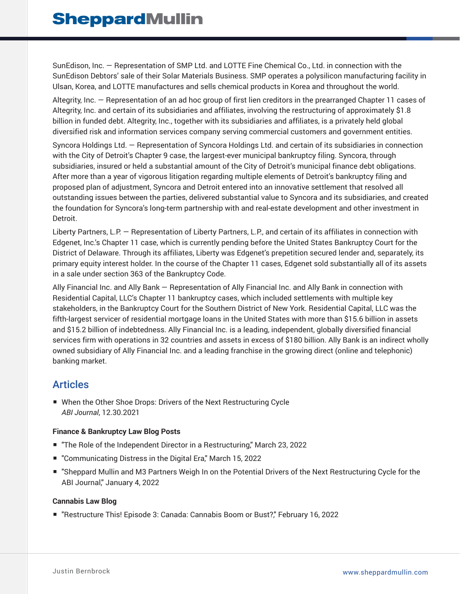SunEdison, Inc. — Representation of SMP Ltd. and LOTTE Fine Chemical Co., Ltd. in connection with the SunEdison Debtors' sale of their Solar Materials Business. SMP operates a polysilicon manufacturing facility in Ulsan, Korea, and LOTTE manufactures and sells chemical products in Korea and throughout the world.

Altegrity, Inc. — Representation of an ad hoc group of first lien creditors in the prearranged Chapter 11 cases of Altegrity, Inc. and certain of its subsidiaries and affiliates, involving the restructuring of approximately \$1.8 billion in funded debt. Altegrity, Inc., together with its subsidiaries and affiliates, is a privately held global diversified risk and information services company serving commercial customers and government entities.

Syncora Holdings Ltd. — Representation of Syncora Holdings Ltd. and certain of its subsidiaries in connection with the City of Detroit's Chapter 9 case, the largest-ever municipal bankruptcy filing. Syncora, through subsidiaries, insured or held a substantial amount of the City of Detroit's municipal finance debt obligations. After more than a year of vigorous litigation regarding multiple elements of Detroit's bankruptcy filing and proposed plan of adjustment, Syncora and Detroit entered into an innovative settlement that resolved all outstanding issues between the parties, delivered substantial value to Syncora and its subsidiaries, and created the foundation for Syncora's long-term partnership with and real-estate development and other investment in Detroit.

Liberty Partners, L.P. — Representation of Liberty Partners, L.P., and certain of its affiliates in connection with Edgenet, Inc.'s Chapter 11 case, which is currently pending before the United States Bankruptcy Court for the District of Delaware. Through its affiliates, Liberty was Edgenet's prepetition secured lender and, separately, its primary equity interest holder. In the course of the Chapter 11 cases, Edgenet sold substantially all of its assets in a sale under section 363 of the Bankruptcy Code.

Ally Financial Inc. and Ally Bank — Representation of Ally Financial Inc. and Ally Bank in connection with Residential Capital, LLC's Chapter 11 bankruptcy cases, which included settlements with multiple key stakeholders, in the Bankruptcy Court for the Southern District of New York. Residential Capital, LLC was the fifth-largest servicer of residential mortgage loans in the United States with more than \$15.6 billion in assets and \$15.2 billion of indebtedness. Ally Financial Inc. is a leading, independent, globally diversified financial services firm with operations in 32 countries and assets in excess of \$180 billion. Ally Bank is an indirect wholly owned subsidiary of Ally Financial Inc. and a leading franchise in the growing direct (online and telephonic) banking market.

### Articles

■ When the Other Shoe Drops: Drivers of the Next Restructuring Cycle *ABI Journal*, 12.30.2021

#### **Finance & Bankruptcy Law Blog Posts**

- "The Role of the Independent Director in a Restructuring," March 23, 2022
- "Communicating Distress in the Digital Era," March 15, 2022
- "Sheppard Mullin and M3 Partners Weigh In on the Potential Drivers of the Next Restructuring Cycle for the ABI Journal," January 4, 2022

#### **Cannabis Law Blog**

■ "Restructure This! Episode 3: Canada: Cannabis Boom or Bust?," February 16, 2022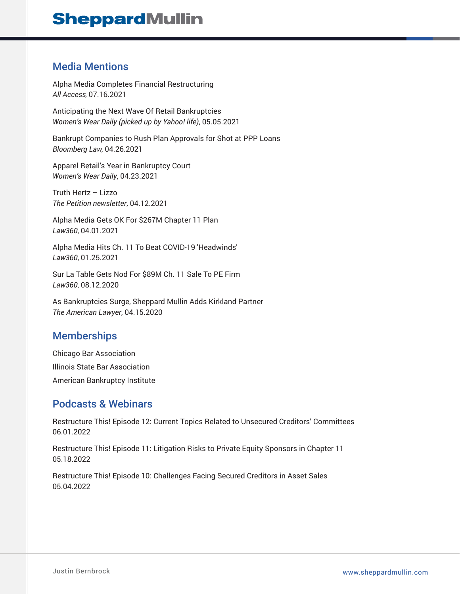## **SheppardMullin**

### Media Mentions

Alpha Media Completes Financial Restructuring *All Access*, 07.16.2021

Anticipating the Next Wave Of Retail Bankruptcies *Women's Wear Daily (picked up by Yahoo! life)*, 05.05.2021

Bankrupt Companies to Rush Plan Approvals for Shot at PPP Loans *Bloomberg Law*, 04.26.2021

Apparel Retail's Year in Bankruptcy Court *Women's Wear Daily*, 04.23.2021

Truth Hertz – Lizzo *The Petition newsletter*, 04.12.2021

Alpha Media Gets OK For \$267M Chapter 11 Plan *Law360*, 04.01.2021

Alpha Media Hits Ch. 11 To Beat COVID-19 'Headwinds' *Law360*, 01.25.2021

Sur La Table Gets Nod For \$89M Ch. 11 Sale To PE Firm *Law360*, 08.12.2020

As Bankruptcies Surge, Sheppard Mullin Adds Kirkland Partner *The American Lawyer*, 04.15.2020

### **Memberships**

Chicago Bar Association Illinois State Bar Association American Bankruptcy Institute

#### Podcasts & Webinars

Restructure This! Episode 12: Current Topics Related to Unsecured Creditors' Committees 06.01.2022

Restructure This! Episode 11: Litigation Risks to Private Equity Sponsors in Chapter 11 05.18.2022

Restructure This! Episode 10: Challenges Facing Secured Creditors in Asset Sales 05.04.2022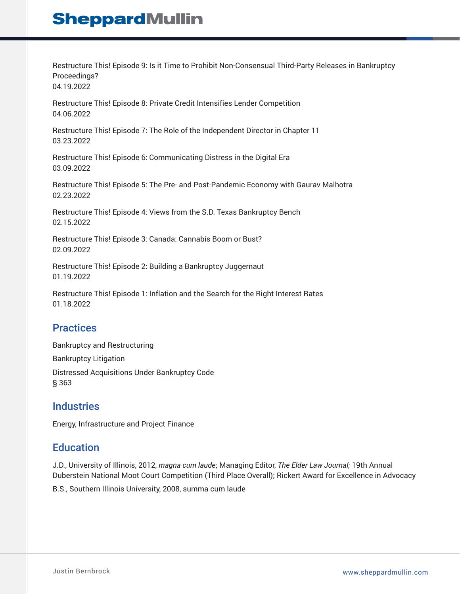# **SheppardMullin**

Restructure This! Episode 9: Is it Time to Prohibit Non-Consensual Third-Party Releases in Bankruptcy Proceedings?

04.19.2022

Restructure This! Episode 8: Private Credit Intensifies Lender Competition 04.06.2022

Restructure This! Episode 7: The Role of the Independent Director in Chapter 11 03.23.2022

Restructure This! Episode 6: Communicating Distress in the Digital Era 03.09.2022

Restructure This! Episode 5: The Pre- and Post-Pandemic Economy with Gaurav Malhotra 02.23.2022

Restructure This! Episode 4: Views from the S.D. Texas Bankruptcy Bench 02.15.2022

Restructure This! Episode 3: Canada: Cannabis Boom or Bust? 02.09.2022

Restructure This! Episode 2: Building a Bankruptcy Juggernaut 01.19.2022

Restructure This! Episode 1: Inflation and the Search for the Right Interest Rates 01.18.2022

### **Practices**

Bankruptcy and Restructuring Bankruptcy Litigation Distressed Acquisitions Under Bankruptcy Code § 363

#### **Industries**

Energy, Infrastructure and Project Finance

#### **Education**

J.D., University of Illinois, 2012, *magna cum laude*; Managing Editor, *The Elder Law Journal;* 19th Annual Duberstein National Moot Court Competition (Third Place Overall); Rickert Award for Excellence in Advocacy

B.S., Southern Illinois University, 2008, summa cum laude